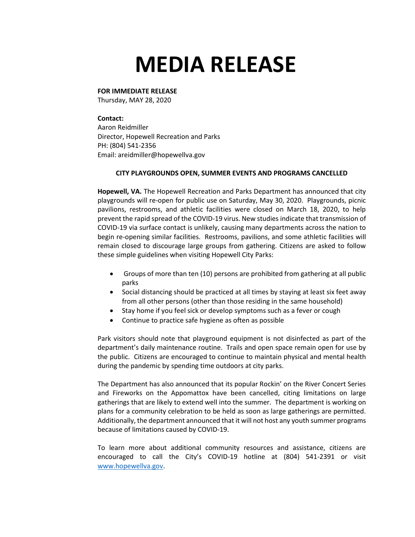## **MEDIA RELEASE**

## **FOR IMMEDIATE RELEASE**

Thursday, MAY 28, 2020

## **Contact:**

Aaron Reidmiller Director, Hopewell Recreation and Parks PH: (804) 541-2356 Email: areidmiller@hopewellva.gov

## **CITY PLAYGROUNDS OPEN, SUMMER EVENTS AND PROGRAMS CANCELLED**

**Hopewell, VA.** The Hopewell Recreation and Parks Department has announced that city playgrounds will re-open for public use on Saturday, May 30, 2020. Playgrounds, picnic pavilions, restrooms, and athletic facilities were closed on March 18, 2020, to help prevent the rapid spread of the COVID-19 virus. New studies indicate that transmission of COVID-19 via surface contact is unlikely, causing many departments across the nation to begin re-opening similar facilities. Restrooms, pavilions, and some athletic facilities will remain closed to discourage large groups from gathering. Citizens are asked to follow these simple guidelines when visiting Hopewell City Parks:

- Groups of more than ten (10) persons are prohibited from gathering at all public parks
- Social distancing should be practiced at all times by staying at least six feet away from all other persons (other than those residing in the same household)
- Stay home if you feel sick or develop symptoms such as a fever or cough
- Continue to practice safe hygiene as often as possible

Park visitors should note that playground equipment is not disinfected as part of the department's daily maintenance routine. Trails and open space remain open for use by the public. Citizens are encouraged to continue to maintain physical and mental health during the pandemic by spending time outdoors at city parks.

The Department has also announced that its popular Rockin' on the River Concert Series and Fireworks on the Appomattox have been cancelled, citing limitations on large gatherings that are likely to extend well into the summer. The department is working on plans for a community celebration to be held as soon as large gatherings are permitted. Additionally, the department announced that it will not host any youth summer programs because of limitations caused by COVID-19.

To learn more about additional community resources and assistance, citizens are encouraged to call the City's COVID-19 hotline at (804) 541-2391 or visit [www.hopewellva.gov.](http://www.hopewellva.gov/)